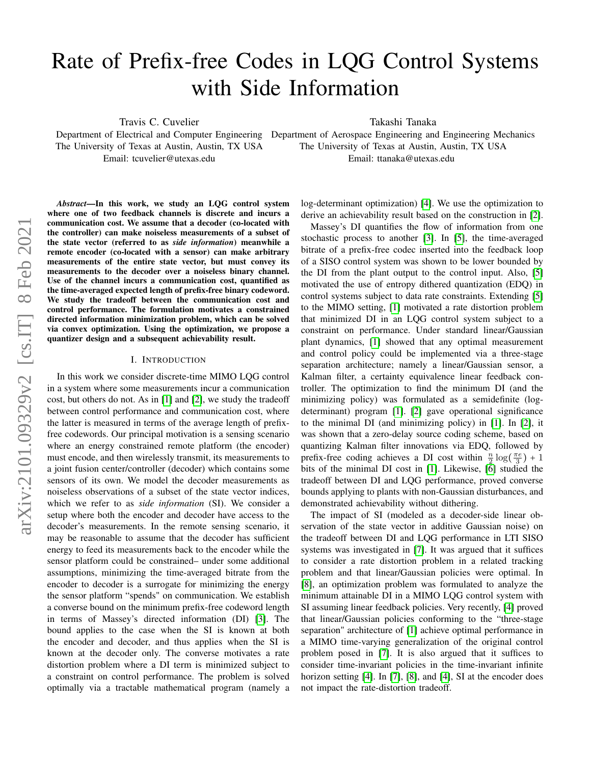# Rate of Prefix-free Codes in LQG Control Systems with Side Information

Travis C. Cuvelier

The University of Texas at Austin, Austin, TX USA Email: tcuvelier@utexas.edu

Takashi Tanaka

Department of Electrical and Computer Engineering Department of Aerospace Engineering and Engineering Mechanics The University of Texas at Austin, Austin, TX USA Email: ttanaka@utexas.edu

*Abstract*—In this work, we study an LQG control system where one of two feedback channels is discrete and incurs a communication cost. We assume that a decoder (co-located with the controller) can make noiseless measurements of a subset of the state vector (referred to as *side information*) meanwhile a remote encoder (co-located with a sensor) can make arbitrary measurements of the entire state vector, but must convey its measurements to the decoder over a noiseless binary channel. Use of the channel incurs a communication cost, quantified as the time-averaged expected length of prefix-free binary codeword. We study the tradeoff between the communication cost and control performance. The formulation motivates a constrained directed information minimization problem, which can be solved via convex optimization. Using the optimization, we propose a quantizer design and a subsequent achievability result.

#### I. INTRODUCTION

In this work we consider discrete-time MIMO LQG control in a system where some measurements incur a communication cost, but others do not. As in [\[1\]](#page-5-0) and [\[2\]](#page-5-1), we study the tradeoff between control performance and communication cost, where the latter is measured in terms of the average length of prefixfree codewords. Our principal motivation is a sensing scenario where an energy constrained remote platform (the encoder) must encode, and then wirelessly transmit, its measurements to a joint fusion center/controller (decoder) which contains some sensors of its own. We model the decoder measurements as noiseless observations of a subset of the state vector indices, which we refer to as *side information* (SI). We consider a setup where both the encoder and decoder have access to the decoder's measurements. In the remote sensing scenario, it may be reasonable to assume that the decoder has sufficient energy to feed its measurements back to the encoder while the sensor platform could be constrained– under some additional assumptions, minimizing the time-averaged bitrate from the encoder to decoder is a surrogate for minimizing the energy the sensor platform "spends" on communication. We establish a converse bound on the minimum prefix-free codeword length in terms of Massey's directed information (DI) [\[3\]](#page-5-2). The bound applies to the case when the SI is known at both the encoder and decoder, and thus applies when the SI is known at the decoder only. The converse motivates a rate distortion problem where a DI term is minimized subject to a constraint on control performance. The problem is solved optimally via a tractable mathematical program (namely a log-determinant optimization) [\[4\]](#page-5-3). We use the optimization to derive an achievability result based on the construction in [\[2\]](#page-5-1).

Massey's DI quantifies the flow of information from one stochastic process to another [\[3\]](#page-5-2). In [\[5\]](#page-5-4), the time-averaged bitrate of a prefix-free codec inserted into the feedback loop of a SISO control system was shown to be lower bounded by the DI from the plant output to the control input. Also, [\[5\]](#page-5-4) motivated the use of entropy dithered quantization (EDQ) in control systems subject to data rate constraints. Extending [\[5\]](#page-5-4) to the MIMO setting, [\[1\]](#page-5-0) motivated a rate distortion problem that minimized DI in an LQG control system subject to a constraint on performance. Under standard linear/Gaussian plant dynamics, [\[1\]](#page-5-0) showed that any optimal measurement and control policy could be implemented via a three-stage separation architecture; namely a linear/Gaussian sensor, a Kalman filter, a certainty equivalence linear feedback controller. The optimization to find the minimum DI (and the minimizing policy) was formulated as a semidefinite (logdeterminant) program [\[1\]](#page-5-0). [\[2\]](#page-5-1) gave operational significance to the minimal DI (and minimizing policy) in [\[1\]](#page-5-0). In [\[2\]](#page-5-1), it was shown that a zero-delay source coding scheme, based on quantizing Kalman filter innovations via EDQ, followed by prefix-free coding achieves a DI cost within  $\frac{n}{2} \log(\frac{\pi e}{3}) + 1$ bits of the minimal DI cost in [\[1\]](#page-5-0). Likewise,  $\overline{6}$ ] studied the tradeoff between DI and LQG performance, proved converse bounds applying to plants with non-Gaussian disturbances, and demonstrated achievability without dithering.

The impact of SI (modeled as a decoder-side linear observation of the state vector in additive Gaussian noise) on the tradeoff between DI and LQG performance in LTI SISO systems was investigated in [\[7\]](#page-5-6). It was argued that it suffices to consider a rate distortion problem in a related tracking problem and that linear/Gaussian policies were optimal. In [\[8\]](#page-5-7), an optimization problem was formulated to analyze the minimum attainable DI in a MIMO LQG control system with SI assuming linear feedback policies. Very recently, [\[4\]](#page-5-3) proved that linear/Gaussian policies conforming to the "three-stage separation" architecture of [\[1\]](#page-5-0) achieve optimal performance in a MIMO time-varying generalization of the original control problem posed in [\[7\]](#page-5-6). It is also argued that it suffices to consider time-invariant policies in the time-invariant infinite horizon setting [\[4\]](#page-5-3). In [\[7\]](#page-5-6), [\[8\]](#page-5-7), and [4], SI at the encoder does not impact the rate-distortion tradeoff.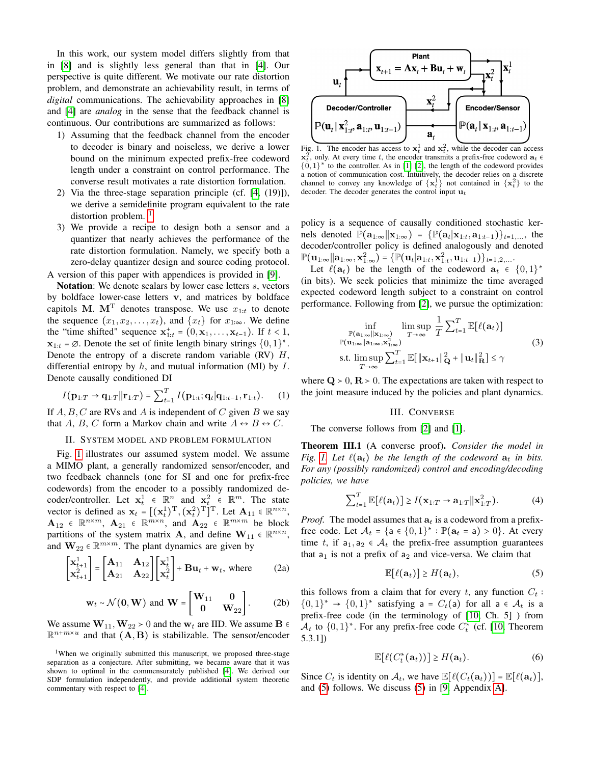In this work, our system model differs slightly from that in [\[8\]](#page-5-7) and is slightly less general than that in [\[4\]](#page-5-3). Our perspective is quite different. We motivate our rate distortion problem, and demonstrate an achievability result, in terms of *digital* communications. The achievability approaches in [\[8\]](#page-5-7) and [\[4\]](#page-5-3) are *analog* in the sense that the feedback channel is continuous. Our contributions are summarized as follows:

- 1) Assuming that the feedback channel from the encoder to decoder is binary and noiseless, we derive a lower bound on the minimum expected prefix-free codeword length under a constraint on control performance. The converse result motivates a rate distortion formulation.
- 2) Via the three-stage separation principle (cf. [\[4,](#page-5-3) (19)]), we derive a semidefinite program equivalent to the rate distortion problem.  $\frac{1}{1}$  $\frac{1}{1}$  $\frac{1}{1}$
- 3) We provide a recipe to design both a sensor and a quantizer that nearly achieves the performance of the rate distortion formulation. Namely, we specify both a zero-delay quantizer design and source coding protocol. A version of this paper with appendices is provided in [\[9\]](#page-5-8).

Notation: We denote scalars by lower case letters  $s$ , vectors by boldface lower-case letters v, and matrices by boldface capitols M. M<sup>T</sup> denotes transpose. We use  $x_{1:t}$  to denote the sequence  $(x_1, x_2, \ldots, x_t)$ , and  $\{x_t\}$  for  $x_1_{\infty}$ . We define the "time shifted" sequence  $\mathbf{x}_{1:t}^+ = (0, \mathbf{x}_1, \dots, \mathbf{x}_{t-1})$ . If  $t < 1$ ,  $x_{1:t} = \emptyset$ . Denote the set of finite length binary strings  $\{0, 1\}^*$ .<br>Denote the entropy of a discrete renders veriable (BV) *H*. Denote the entropy of a discrete random variable (RV)  $H$ , differential entropy by  $h$ , and mutual information (MI) by  $I$ . Denote causally conditioned DI

$$
I(\mathbf{p}_{1:T} \rightarrow \mathbf{q}_{1:T} || \mathbf{r}_{1:T}) = \sum_{t=1}^{T} I(\mathbf{p}_{1:t}; \mathbf{q}_t | \mathbf{q}_{1:t-1}, \mathbf{r}_{1:t}). \qquad (1)
$$

If  $A, B, C$  are RVs and A is independent of C given B we say that A, B, C form a Markov chain and write  $A \leftrightarrow B \leftrightarrow C$ .

# II. SYSTEM MODEL AND PROBLEM FORMULATION

<span id="page-1-6"></span>Fig. [1](#page-1-1) illustrates our assumed system model. We assume a MIMO plant, a generally randomized sensor/encoder, and two feedback channels (one for SI and one for prefix-free codewords) from the encoder to a possibly randomized decoder/controller. Let  $\mathbf{x}_t^1 \in \mathbb{R}^n$  and  $\mathbf{x}_t^2 \in \mathbb{R}^m$ . The state vector is defined as  $\mathbf{x}_t = [(\mathbf{x}_t^1)^{\mathrm{T}}, (\mathbf{x}_t^2)^{\mathrm{T}}]^{\mathrm{T}}$ . Let  $\mathbf{A}_{11} \in \mathbb{R}^{n \times n}$ ,  $\mathbf{A}_{12} \in \mathbb{R}^{n \times m}$ ,  $\mathbf{A}_{21} \in \mathbb{R}^{m \times n}$ , and  $\mathbf{A}_{22} \in \mathbb{R}^{m \times m}$  be block partitions of the system matrix **A**, and define  $W_{11} \in \mathbb{R}^{n \times n}$ , and  $\mathbf{W}_{22} \in \mathbb{R}^{m \times m}$ . The plant dynamics are given by

$$
\begin{bmatrix} \mathbf{x}_{t+1}^1 \\ \mathbf{x}_{t+1}^2 \end{bmatrix} = \begin{bmatrix} \mathbf{A}_{11} & \mathbf{A}_{12} \\ \mathbf{A}_{21} & \mathbf{A}_{22} \end{bmatrix} \begin{bmatrix} \mathbf{x}_t^1 \\ \mathbf{x}_t^2 \end{bmatrix} + \mathbf{B} \mathbf{u}_t + \mathbf{w}_t \text{, where} \tag{2a}
$$

$$
\mathbf{w}_t \sim \mathcal{N}(\mathbf{0}, \mathbf{W}) \text{ and } \mathbf{W} = \begin{bmatrix} \mathbf{W}_{11} & \mathbf{0} \\ \mathbf{0} & \mathbf{W}_{22} \end{bmatrix} . \tag{2b}
$$

We assume  $W_{11}$ ,  $W_{22}$  > 0 and the  $w_t$  are IID. We assume  $B \in$  $\mathbb{R}^{n+m \times u}$  and that  $(A, B)$  is stabilizable. The sensor/encoder



<span id="page-1-1"></span>Fig. 1. The encoder has access to  $x_t^1$  and  $x_t^2$ , while the decoder can access  $x_i^2$ , only. At every time t, the encoder transmits a prefix-free codeword  $a_t \in$  $\{0,1\}^*$  to the controller. As in [\[1\]](#page-5-0) [\[2\]](#page-5-1), the length of the codeword provides a notion of communication cost. Intuitively, the decoder relies on a discrete channel to convey any knowledge of  $\{x_t^1\}$  not contained in  $\{x_t^2\}$  to the decoder. The decoder generates the control input  $\mathbf{u}_t$ 

policy is a sequence of causally conditioned stochastic kernels denoted  $\mathbb{P}(\mathbf{a}_{1:\infty}|\mathbf{x}_{1:\infty}) = \{ \mathbb{P}(\mathbf{a}_t|\mathbf{x}_{1:t}, \mathbf{a}_{1:t-1}) \}_{t=1,\dots}$ , the decoder/controller policy is defined analogously and denoted  $\mathbb{P}(\mathbf{u}_{1:\infty}|\mathbf{a}_{1:\infty},\mathbf{x}_{1:\infty}^2) = \{\mathbb{P}(\mathbf{u}_t|\mathbf{a}_{1:t},\mathbf{x}_{1:t}^2,\mathbf{u}_{1:t-1})\}_{t=1,2,...}$ 

Let  $\ell(\mathbf{a}_t)$  be the length of the codeword  $\mathbf{a}_t \in \{0,1\}^*$ (in bits). We seek policies that minimize the time averaged expected codeword length subject to a constraint on control performance. Following from [\[2\]](#page-5-1), we pursue the optimization:

$$
\inf_{\substack{\mathbb{P}(\mathbf{a}_{1:\infty}||\mathbf{x}_{1:\infty})\\ \mathbb{P}(\mathbf{u}_{1:\infty}||\mathbf{a}_{1:\infty},\mathbf{x}_{1:\infty}^2)}} \limsup_{T\to\infty} \frac{1}{T} \sum_{t=1}^T \mathbb{E}[\ell(\mathbf{a}_t)]
$$
\ns.t. 
$$
\limsup_{T\to\infty} \sum_{t=1}^T \mathbb{E}[\|\mathbf{x}_{t+1}\|_{\mathbf{Q}}^2 + \|\mathbf{u}_t\|_{\mathbf{R}}^2] \leq \gamma
$$
\n(3)

<span id="page-1-3"></span>where  $\mathbf{Q} > 0$ ,  $\mathbf{R} > 0$ . The expectations are taken with respect to the joint measure induced by the policies and plant dynamics.

#### <span id="page-1-4"></span>III. CONVERSE

<span id="page-1-5"></span>The converse follows from [\[2\]](#page-5-1) and [\[1\]](#page-5-0).

Theorem III.1 (A converse proof). *Consider the model in Fig.* [1.](#page-1-1) Let  $\ell(\mathbf{a}_t)$  *be the length of the codeword*  $\mathbf{a}_t$  *in bits. For any (possibly randomized) control and encoding/decoding policies, we have*

$$
\sum_{t=1}^{T} \mathbb{E}[\ell(\mathbf{a}_t)] \ge I(\mathbf{x}_{1:T} \to \mathbf{a}_{1:T} || \mathbf{x}_{1:T}^2).
$$
 (4)

*Proof.* The model assumes that  $a_t$  is a codeword from a prefixfree code. Let  $\mathcal{A}_t = \{a \in \{0,1\}^* : \mathbb{P}(a_t = a) > 0\}$ . At every time t, if  $a_1, a_2 \in A_t$  the prefix-free assumption guarantees that  $a_1$  is not a prefix of  $a_2$  and vice-versa. We claim that

<span id="page-1-2"></span>
$$
\mathbb{E}[\ell(\mathbf{a}_t)] \ge H(\mathbf{a}_t),\tag{5}
$$

this follows from a claim that for every t, any function  $C_t$ :  $\{0,1\}^* \rightarrow \{0,1\}^*$  satisfying a =  $C_t$ (a) for all a  $\in \mathcal{A}_t$  is a prefix-free code (in the terminology of [\[10,](#page-5-9) Ch. 5] ) from  $\mathcal{A}_t$  to  $\{0,1\}^*$ . For any prefix-free code  $C_t^*$  (cf. [\[10,](#page-5-9) Theorem 5.3.1])

$$
\mathbb{E}[\ell(C_t^*(\mathbf{a}_t))] \ge H(\mathbf{a}_t). \tag{6}
$$

Since  $C_t$  is identity on  $\mathcal{A}_t$ , we have  $\mathbb{E}[\ell(C_t(\mathbf{a}_t))] = \mathbb{E}[\ell(\mathbf{a}_t)],$ and [\(5\)](#page-1-2) follows. We discuss [\(5\)](#page-1-2) in [\[9,](#page-5-8) Appendix [A\]](#page-6-0).

<span id="page-1-0"></span><sup>&</sup>lt;sup>1</sup>When we originally submitted this manuscript, we proposed three-stage separation as a conjecture. After submitting, we became aware that it was shown to optimal in the commensurately published [\[4\]](#page-5-3). We derived our SDP formulation independently, and provide additional system theoretic commentary with respect to [\[4\]](#page-5-3).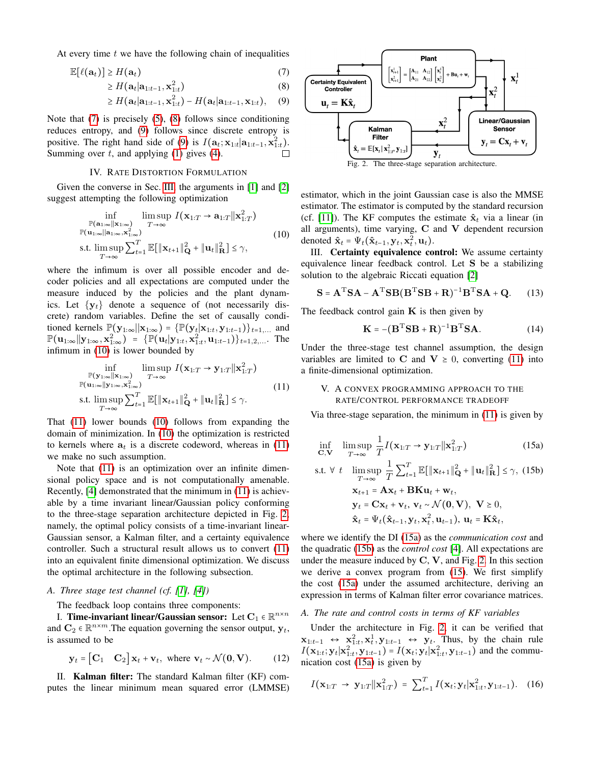At every time  $t$  we have the following chain of inequalities

$$
\mathbb{E}[\ell(\mathbf{a}_t)] \ge H(\mathbf{a}_t) \tag{7}
$$

$$
\geq H(\mathbf{a}_t|\mathbf{a}_{1:t-1}, \mathbf{x}_{1:t}^2) \tag{8}
$$

$$
\geq H(\mathbf{a}_t|\mathbf{a}_{1:t-1}, \mathbf{x}_{1:t}^2) - H(\mathbf{a}_t|\mathbf{a}_{1:t-1}, \mathbf{x}_{1:t}), \quad (9)
$$

Note that [\(7\)](#page-2-0) is precisely [\(5\)](#page-1-2), [\(8\)](#page-2-1) follows since conditioning reduces entropy, and [\(9\)](#page-2-2) follows since discrete entropy is positive. The right hand side of [\(9\)](#page-2-2) is  $I(\mathbf{a}_t; \mathbf{x}_{1:t} | \mathbf{a}_{1:t-1}, \mathbf{x}_{1:t}^2)$ . Summing over  $t$ , and applying [\(1\)](#page-1-3) gives [\(4\)](#page-1-4).

#### IV. RATE DISTORTION FORMULATION

Given the converse in Sec. [III,](#page-1-5) the arguments in [\[1\]](#page-5-0) and [\[2\]](#page-5-1) suggest attempting the following optimization

<span id="page-2-3"></span>
$$
\inf_{\substack{\mathbb{P}(\mathbf{a}_{1:\infty}||\mathbf{x}_{1:\infty})\\ \mathbb{P}(\mathbf{u}_{1:\infty}||\mathbf{x}_{1:\infty},\mathbf{x}_{1:\infty}^2)}} \limsup_{T \to \infty} I(\mathbf{x}_{1:T} \to \mathbf{a}_{1:T}||\mathbf{x}_{1:T}^2)
$$
\n
$$
\text{s.t. } \limsup_{T \to \infty} \sum_{t=1}^T \mathbb{E}[\|\mathbf{x}_{t+1}\|_{\mathbf{Q}}^2 + \|\mathbf{u}_t\|_{\mathbf{R}}^2] \le \gamma,
$$
\n(10)

where the infimum is over all possible encoder and decoder policies and all expectations are computed under the measure induced by the policies and the plant dynamics. Let  $\{y_t\}$  denote a sequence of (not necessarily discrete) random variables. Define the set of causally conditioned kernels  $\mathbb{P}(\mathbf{y}_{1:\infty}||\mathbf{x}_{1:\infty}) = {\mathbb{P}(\mathbf{y}_t|\mathbf{x}_{1:t}, \mathbf{y}_{1:t-1})}_{t=1,\dots}$  and  $\mathbb{P}(\mathbf{u}_{1:\infty}||\mathbf{y}_{1:\infty}, \mathbf{x}_{1:\infty}^2) = \{ \mathbb{P}(\mathbf{u}_t|\mathbf{y}_{1:t}, \mathbf{x}_{1:t}^2, \mathbf{u}_{1:t-1}) \}_{t=1,2,...}$ . The infimum in [\(10\)](#page-2-3) is lower bounded by

<span id="page-2-4"></span>
$$
\inf_{\substack{\mathbb{P}(\mathbf{y}_{1:\infty}||\mathbf{x}_{1:\infty}) \ T \to \infty}} \limsup_{T \to \infty} I(\mathbf{x}_{1:T} \to \mathbf{y}_{1:T}||\mathbf{x}_{1:T}^2)
$$
\n
$$
\mathbb{P}(\mathbf{u}_{1:\infty}||\mathbf{y}_{1:\infty}, \mathbf{x}_{1:\infty}^2) \tag{11}
$$
\n
$$
\text{s.t. } \limsup_{T \to \infty} \sum_{t=1}^T \mathbb{E}[\|\mathbf{x}_{t+1}\|_{\mathbf{Q}}^2 + \|\mathbf{u}_t\|_{\mathbf{R}}^2] \le \gamma.
$$

That [\(11\)](#page-2-4) lower bounds [\(10\)](#page-2-3) follows from expanding the domain of minimization. In [\(10\)](#page-2-3) the optimization is restricted to kernels where  $a_t$  is a discrete codeword, whereas in [\(11\)](#page-2-4) we make no such assumption.

Note that [\(11\)](#page-2-4) is an optimization over an infinite dimensional policy space and is not computationally amenable. Recently, [\[4\]](#page-5-3) demonstrated that the minimum in [\(11\)](#page-2-4) is achievable by a time invariant linear/Gaussian policy conforming to the three-stage separation architecture depicted in Fig. [2;](#page-2-5) namely, the optimal policy consists of a time-invariant linear-Gaussian sensor, a Kalman filter, and a certainty equivalence controller. Such a structural result allows us to convert [\(11\)](#page-2-4) into an equivalent finite dimensional optimization. We discuss the optimal architecture in the following subsection.

#### *A. Three stage test channel (cf. [\[1\]](#page-5-0), [\[4\]](#page-5-3))*

The feedback loop contains three components:

I. Time-invariant linear/Gaussian sensor: Let  $C_1 \in \mathbb{R}^{n \times n}$ <br>definition assuming the consequential set and  $\mathbf{C}_2 \in \mathbb{R}^{n \times m}$ . The equation governing the sensor output,  $\mathbf{y}_t$ , is assumed to be

$$
\mathbf{y}_t = \begin{bmatrix} \mathbf{C}_1 & \mathbf{C}_2 \end{bmatrix} \mathbf{x}_t + \mathbf{v}_t, \text{ where } \mathbf{v}_t \sim \mathcal{N}(\mathbf{0}, \mathbf{V}). \tag{12}
$$

II. Kalman filter: The standard Kalman filter (KF) computes the linear minimum mean squared error (LMMSE)

<span id="page-2-2"></span><span id="page-2-1"></span><span id="page-2-0"></span>

<span id="page-2-5"></span>estimator, which in the joint Gaussian case is also the MMSE estimator. The estimator is computed by the standard recursion (cf. [\[11\]](#page-5-10)). The KF computes the estimate  $\hat{\mathbf{x}}_t$  via a linear (in all arguments), time varying,  $C$  and  $V$  dependent recursion denoted  $\hat{\mathbf{x}}_t = \Psi_t(\hat{\mathbf{x}}_{t-1}, \mathbf{y}_t, \mathbf{x}_t^2, \mathbf{u}_t)$ .

III. Certainty equivalence control: We assume certainty equivalence linear feedback control. Let S be a stabilizing solution to the algebraic Riccati equation [\[2\]](#page-5-1)

$$
\mathbf{S} = \mathbf{A}^{\mathrm{T}} \mathbf{S} \mathbf{A} - \mathbf{A}^{\mathrm{T}} \mathbf{S} \mathbf{B} (\mathbf{B}^{\mathrm{T}} \mathbf{S} \mathbf{B} + \mathbf{R})^{-1} \mathbf{B}^{\mathrm{T}} \mathbf{S} \mathbf{A} + \mathbf{Q}.
$$
 (13)

The feedback control gain  $K$  is then given by

<span id="page-2-11"></span><span id="page-2-6"></span>
$$
\mathbf{K} = -(\mathbf{B}^{\mathrm{T}} \mathbf{S} \mathbf{B} + \mathbf{R})^{-1} \mathbf{B}^{\mathrm{T}} \mathbf{S} \mathbf{A}.
$$
 (14)

Under the three-stage test channel assumption, the design variables are limited to C and  $V \ge 0$ , converting [\(11\)](#page-2-4) into a finite-dimensional optimization.

## <span id="page-2-10"></span>V. A CONVEX PROGRAMMING APPROACH TO THE RATE/CONTROL PERFORMANCE TRADEOFF

<span id="page-2-8"></span>Via three-stage separation, the minimum in [\(11\)](#page-2-4) is given by

<span id="page-2-7"></span>
$$
\inf_{\mathbf{C},\mathbf{V}} \quad \limsup_{T \to \infty} \frac{1}{T} I(\mathbf{x}_{1:T} \to \mathbf{y}_{1:T} || \mathbf{x}_{1:T}^2)
$$
\n(15a)

s.t. 
$$
\forall t
$$
  $\limsup_{T \to \infty} \frac{1}{T} \sum_{t=1}^{T} \mathbb{E}[\|\mathbf{x}_{t+1}\|_{\mathbf{Q}}^{2} + \|\mathbf{u}_{t}\|_{\mathbf{R}}^{2}] \leq \gamma$ , (15b)  
\n $\mathbf{x}_{t+1} = \mathbf{A}\mathbf{x}_{t} + \mathbf{B}\mathbf{K}\mathbf{u}_{t} + \mathbf{w}_{t}$ ,  
\n $\mathbf{y}_{t} = \mathbf{C}\mathbf{x}_{t} + \mathbf{v}_{t}, \ \mathbf{v}_{t} \sim \mathcal{N}(\mathbf{0}, \mathbf{V}), \ \mathbf{V} \geq 0$ ,  
\n $\hat{\mathbf{x}}_{t} = \Psi_{t}(\hat{\mathbf{x}}_{t-1}, \mathbf{y}_{t}, \mathbf{x}_{t}^{2}, \mathbf{u}_{t-1}), \ \mathbf{u}_{t} = \mathbf{K}\hat{\mathbf{x}}_{t}$ ,

where we identify the DI [\(15a\)](#page-2-6) as the *communication cost* and the quadratic [\(15b\)](#page-2-7) as the *control cost* [\[4\]](#page-5-3). All expectations are under the measure induced by  $C$ ,  $V$ , and Fig. [2.](#page-2-5) In this section we derive a convex program from [\(15\)](#page-2-8). We first simplify the cost [\(15a\)](#page-2-6) under the assumed architecture, deriving an expression in terms of Kalman filter error covariance matrices.

#### <span id="page-2-9"></span>*A. The rate and control costs in terms of KF variables*

<span id="page-2-12"></span>Under the architecture in Fig. [2,](#page-2-5) it can be verified that  $x_{1:t-1} \leftrightarrow x_{1:t}^2, x_t^1, y_{1:t-1} \leftrightarrow y_t$ . Thus, by the chain rule  $I(\mathbf{x}_{1:t}; \mathbf{y}_t|\mathbf{x}_{1:t}^2, \mathbf{y}_{1:t-1}) = I(\mathbf{x}_t; \mathbf{y}_t|\mathbf{x}_{1:t}^2, \mathbf{y}_{1:t-1})$  and the communication cost [\(15a\)](#page-2-6) is given by

$$
I(\mathbf{x}_{1:T} \to \mathbf{y}_{1:T} || \mathbf{x}_{1:T}^2) = \sum_{t=1}^T I(\mathbf{x}_t; \mathbf{y}_t | \mathbf{x}_{1:t}^2, \mathbf{y}_{1:t-1}). \quad (16)
$$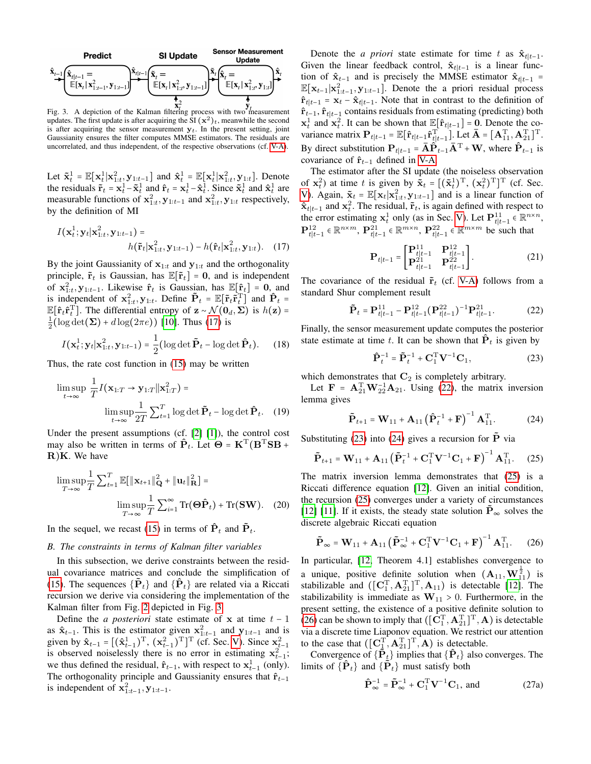

<span id="page-3-1"></span>updates. The first update is after acquiring the  $\text{SI}(\mathbf{x}^2)_t$ , meanwhile the second is after acquiring the sensor measurement  $y_t$ . In the present setting, joint Gaussianity ensures the filter computes MMSE estimators. The residuals are uncorrelated, and thus independent, of the respective observations (cf. [V-A\)](#page-2-9).

Let  $\tilde{\mathbf{x}}_t^1 = \mathbb{E}[\mathbf{x}_t^1 | \mathbf{x}_{1:t}^2, \mathbf{y}_{1:t-1}]$  and  $\hat{\mathbf{x}}_t^1 = \mathbb{E}[\mathbf{x}_t^1 | \mathbf{x}_{1:t}^2, \mathbf{y}_{1:t}]$ . Denote the residuals  $\tilde{\mathbf{r}}_t = \mathbf{x}_t^1 - \tilde{\mathbf{x}}_t^1$  and  $\hat{\mathbf{r}}_t = \mathbf{x}_t^1 - \hat{\mathbf{x}}_t^1$ . Since  $\tilde{\mathbf{x}}_t^1$  and  $\hat{\mathbf{x}}_t^1$  are measurable functions of  $x_{1:t}^2$ ,  $y_{1:t-1}$  and  $x_{1:t}^2$ ,  $y_{1:t}$  respectively, by the definition of MI

$$
I(\mathbf{x}_{t}^{1}; \mathbf{y}_{t}|\mathbf{x}_{1:t}^{2}, \mathbf{y}_{1:t-1}) = h(\tilde{\mathbf{r}}_{t}|\mathbf{x}_{1:t}^{2}, \mathbf{y}_{1:t-1}) - h(\hat{\mathbf{r}}_{t}|\mathbf{x}_{1:t}^{2}, \mathbf{y}_{1:t}).
$$
 (17)

By the joint Gaussianity of  $x_{1:t}$  and  $y_{1:t}$  and the orthogonality principle,  $\tilde{\mathbf{r}}_t$  is Gaussian, has  $\mathbb{E}[\tilde{\mathbf{r}}_t] = \mathbf{0}$ , and is independent of  $\mathbf{x}_{1:t}^2$ ,  $\mathbf{y}_{1:t-1}$ . Likewise  $\hat{\mathbf{r}}_t$  is Gaussian, has  $\mathbb{E}[\hat{\mathbf{r}}_t] = \mathbf{0}$ , and is independent of  $\mathbf{x}_t^2$  and  $\hat{\mathbf{D}}$ is independent of  $\mathbf{x}_{1:t}^2$ ,  $\mathbf{y}_{1:t}$ . Define  $\tilde{\mathbf{P}}_t = \mathbb{E}[\tilde{\mathbf{r}}_t \tilde{\mathbf{r}}_t^T]$  and  $\hat{\mathbf{P}}_t = \mathbb{E}[\tilde{\mathbf{r}}_t \tilde{\mathbf{r}}_t^T]$  and  $\hat{\mathbf{P}}_t = \mathbb{E}[\tilde{\mathbf{r}}_t \tilde{\mathbf{r}}_t^T]$  $\mathbb{E}[\hat{\mathbf{r}}_t \hat{\mathbf{r}}_t^{\mathrm{T}}]$ . The differential entropy of  $\mathbf{z} \sim \mathcal{N}(\mathbf{0}_d, \Sigma)$  is  $h(\mathbf{z}) =$  $\frac{1}{2}$ (log det( $\Sigma$ ) + d log( $2\pi e$ )) [\[10\]](#page-5-9). Thus [\(17\)](#page-3-0) is

$$
I(\mathbf{x}_t^1; \mathbf{y}_t | \mathbf{x}_{1:t}^2, \mathbf{y}_{1:t-1}) = \frac{1}{2} (\log \det \tilde{\mathbf{P}}_t - \log \det \hat{\mathbf{P}}_t). \tag{18}
$$

Thus, the rate cost function in [\(15\)](#page-2-8) may be written

$$
\limsup_{t \to \infty} \frac{1}{T} I(\mathbf{x}_{1:T} \to \mathbf{y}_{1:T} || \mathbf{x}_{1:T}^2) =
$$

$$
\limsup_{t \to \infty} \frac{1}{2T} \sum_{t=1}^T \log \det \tilde{\mathbf{P}}_t - \log \det \hat{\mathbf{P}}_t. \quad (19)
$$

Under the present assumptions (cf. [\[2\]](#page-5-1) [\[1\]](#page-5-0)), the control cost may also be written in terms of  $\hat{P}_t$ . Let  $\Theta = K^{\mathrm{T}}(B^{\mathrm{T}}SB +$  $R$ ) $K$ . We have

$$
\limsup_{T \to \infty} \frac{1}{T} \sum_{t=1}^{T} \mathbb{E}[\|\mathbf{x}_{t+1}\|_{\mathbf{Q}}^2 + \|\mathbf{u}_t\|_{\mathbf{R}}^2] =
$$
  

$$
\limsup_{T \to \infty} \frac{1}{T} \sum_{i=1}^{\infty} \text{Tr}(\Theta \hat{\mathbf{P}}_t) + \text{Tr}(\mathbf{SW}). \quad (20)
$$

In the sequel, we recast [\(15\)](#page-2-8) in terms of  $\hat{P}_t$  and  $\tilde{P}_t$ .

### <span id="page-3-10"></span>*B. The constraints in terms of Kalman filter variables*

In this subsection, we derive constraints between the residual covariance matrices and conclude the simplification of [\(15\)](#page-2-8). The sequences  $\{\tilde{P}_t\}$  and  $\{\hat{P}_t\}$  are related via a Riccati recursion we derive via considering the implementation of the Kalman filter from Fig. [2](#page-2-5) depicted in Fig. [3.](#page-3-1)

Define the *a posteriori* state estimate of x at time  $t - 1$ as  $\hat{\mathbf{x}}_{t-1}$ . This is the estimator given  $\mathbf{x}_{1:t-1}^2$  and  $\mathbf{y}_{1:t-1}$  and is given by  $\hat{\mathbf{x}}_{t-1} = [(\hat{\mathbf{x}}_{t-1}^1)^{\mathrm{T}}, (\mathbf{x}_{t-1}^2)^{\mathrm{T}}]^{\mathrm{T}}$  (cf. Sec. [V\)](#page-2-10). Since  $\mathbf{x}_{t-1}^2$ is observed noiselessly there is no error in estimating  $x_{t-1}^2$ ; we thus defined the residual,  $\hat{\mathbf{r}}_{t-1}$ , with respect to  $\mathbf{x}_{t-1}^1$  (only). The orthogonality principle and Gaussianity ensures that  $\hat{\mathbf{r}}_{t-1}$ is independent of  $x_{1:t-1}^2, y_{1:t-1}$ .

Denote the *a priori* state estimate for time t as  $\hat{\mathbf{x}}_{t|t-1}$ . Given the linear feedback control,  $\hat{\mathbf{x}}_{t|t-1}$  is a linear function of  $\hat{\mathbf{x}}_{t-1}$  and is precisely the MMSE estimator  $\hat{\mathbf{x}}_{t|t-1}$  =  $\mathbb{E}[\mathbf{x}_{t-1}|\mathbf{x}_{1:t-1}^2, \mathbf{y}_{1:t-1}]$ . Denote the a priori residual process  $\hat{\mathbf{r}}_{t|t-1} = \mathbf{x}_t - \hat{\mathbf{x}}_{t|t-1}$ . Note that in contrast to the definition of  $\hat{\mathbf{r}}_{t-1}$ ,  $\hat{\mathbf{r}}_{t|t-1}$  contains residuals from estimating (predicting) both  $x_t^1$  and  $x_t^2$ . It can be shown that  $\mathbb{E}[\hat{\mathbf{r}}_{t|t-1}] = \mathbf{0}$ . Denote the co-<br>transpose matrix  $\mathbf{D} = \mathbb{E}[\hat{\mathbf{r}}_t \quad \hat{\mathbf{r}}_t^T]$  is to  $\overline{\mathbf{A}} = [\mathbf{A}^T, \mathbf{A}^T]^T$ variance matrix  $\mathbf{P}_{t|t-1} = \mathbb{E}[\hat{\mathbf{r}}_{t|t-1}\hat{\mathbf{r}}_{t|t-1}^T]$ . Let  $\bar{\mathbf{A}} = [\mathbf{A}_{11}^T, \mathbf{A}_{21}^T]^T$ . By direct substitution  $\mathbf{P}_{t|t-1} = \overrightarrow{\mathbf{A}} \hat{\mathbf{P}}_{t-1} \overrightarrow{\mathbf{A}}^{\mathrm{T}} + \mathbf{W}$ , where  $\hat{\mathbf{P}}_{t-1}$  is covariance of  $\hat{\mathbf{r}}_{t-1}$  defined in [V-A.](#page-2-9)

The estimator after the SI update (the noiseless observation of  $\mathbf{x}_t^2$ ) at time t is given by  $\tilde{\mathbf{x}}_t = [(\tilde{\mathbf{x}}_t^1)^T, (\mathbf{x}_t^2)^T]^T$  (cf. Sec. [V\)](#page-2-10). Again,  $\tilde{\mathbf{x}}_t = \mathbb{E}[\mathbf{x}_t | \mathbf{x}_{1:t}^2, \mathbf{y}_{1:t-1}]$  and is a linear function of  $\hat{\mathbf{x}}_{t|t-1}$  and  $\mathbf{x}_t^2$ . The residual,  $\tilde{\mathbf{r}}_t$ , is again defined with respect to the error estimating  $\mathbf{x}_t^1$  only (as in Sec. [V\)](#page-2-10). Let  $\mathbf{P}_{t|t-1}^{11} \in \mathbb{R}^{n \times n}$ ,  ${\bf P}_{t|t-1}^{12}$  ∈  $\mathbb{R}^{n \times m}$ ,  ${\bf P}_{t|t-1}^{21}$  ∈  $\mathbb{R}^{m \times n}$ ,  ${\bf P}_{t|t-1}^{22}$  ∈  $\mathbb{R}^{m \times m}$  be such that

$$
\mathbf{P}_{t|t-1} = \begin{bmatrix} \mathbf{P}_{t|t-1}^{11} & \mathbf{P}_{t|t-1}^{12} \\ \mathbf{P}_{t|t-1}^{21} & \mathbf{P}_{t|t-1}^{22} \end{bmatrix} .
$$
 (21)

<span id="page-3-0"></span>The covariance of the residual  $\tilde{\mathbf{r}}_t$  (cf. [V-A\)](#page-2-9) follows from a standard Shur complement result

$$
\tilde{\mathbf{P}}_t = \mathbf{P}_{t|t-1}^{11} - \mathbf{P}_{t|t-1}^{12} (\mathbf{P}_{t|t-1}^{22})^{-1} \mathbf{P}_{t|t-1}^{21}.
$$
 (22)

Finally, the sensor measurement update computes the posterior state estimate at time t. It can be shown that  $\dot{P}_t$  is given by

<span id="page-3-5"></span><span id="page-3-4"></span><span id="page-3-3"></span><span id="page-3-2"></span>
$$
\hat{\mathbf{P}}_t^{-1} = \tilde{\mathbf{P}}_t^{-1} + \mathbf{C}_1^{\mathrm{T}} \mathbf{V}^{-1} \mathbf{C}_1, \tag{23}
$$

which demonstrates that  $C_2$  is completely arbitrary.

<span id="page-3-8"></span>Let  $\mathbf{F} = \mathbf{A}_{21}^{\mathrm{T}} \mathbf{W}_{22}^{-1} \mathbf{A}_{21}$ . Using [\(22\)](#page-3-2), the matrix inversion lemma gives

$$
\tilde{\mathbf{P}}_{t+1} = \mathbf{W}_{11} + \mathbf{A}_{11} (\hat{\mathbf{P}}_t^{-1} + \mathbf{F})^{-1} \mathbf{A}_{11}^{\mathrm{T}}.
$$
 (24)

Substituting [\(23\)](#page-3-3) into [\(24\)](#page-3-4) gives a recursion for  $\tilde{P}$  via

$$
\tilde{\mathbf{P}}_{t+1} = \mathbf{W}_{11} + \mathbf{A}_{11} \left( \tilde{\mathbf{P}}_t^{-1} + \mathbf{C}_1^{\mathrm{T}} \mathbf{V}^{-1} \mathbf{C}_1 + \mathbf{F} \right)^{-1} \mathbf{A}_{11}^{\mathrm{T}}.
$$
 (25)

<span id="page-3-9"></span>The matrix inversion lemma demonstrates that [\(25\)](#page-3-5) is a Riccati difference equation [\[12\]](#page-5-11). Given an initial condition, the recursion [\(25\)](#page-3-5) converges under a variety of circumstances [\[12\]](#page-5-11) [\[11\]](#page-5-10). If it exists, the steady state solution  $P_{\infty}$  solves the discrete algebraic Riccati equation

<span id="page-3-6"></span>
$$
\tilde{\mathbf{P}}_{\infty} = \mathbf{W}_{11} + \mathbf{A}_{11} \left( \tilde{\mathbf{P}}_{\infty}^{-1} + \mathbf{C}_1^{\mathrm{T}} \mathbf{V}^{-1} \mathbf{C}_1 + \mathbf{F} \right)^{-1} \mathbf{A}_{11}^{\mathrm{T}}.
$$
 (26)

In particular, [\[12,](#page-5-11) Theorem 4.1] establishes convergence to a unique, positive definite solution when  $(A_{11}, W_{11}^{\frac{1}{2}})$  is stabilizable and  $([\mathbf{C}_1^{\mathrm{T}}, \mathbf{A}_{11}^{\mathrm{T}}]^{T}, \mathbf{A}_{11})$  is detectable [\[12\]](#page-5-11). The stabilizability is immediate as  $W_{11} > 0$ . Furthermore, in the present setting, the existence of a positive definite solution to [\(26\)](#page-3-6) can be shown to imply that  $([\mathbf{C}_1^T, \mathbf{A}_{21}^T]^T, \mathbf{A})$  is detectable via a discrete time Liaponov equation. We restrict our attention to the case that  $([\mathbf{C}_1^{\mathrm{T}}, \mathbf{A}_{21}^{\mathrm{T}}]^{\mathrm{T}}, \mathbf{A})$  is detectable.

Convergence of  $\{P_t\}$  implies that  $\{P_t\}$  also converges. The limits of  $\{\hat{\mathbf{P}}_t\}$  and  $\{\hat{\mathbf{P}}_t\}$  must satisfy both

<span id="page-3-7"></span>
$$
\hat{\mathbf{P}}_{\infty}^{-1} = \tilde{\mathbf{P}}_{\infty}^{-1} + \mathbf{C}_1^{\mathrm{T}} \mathbf{V}^{-1} \mathbf{C}_1, \text{ and } (27a)
$$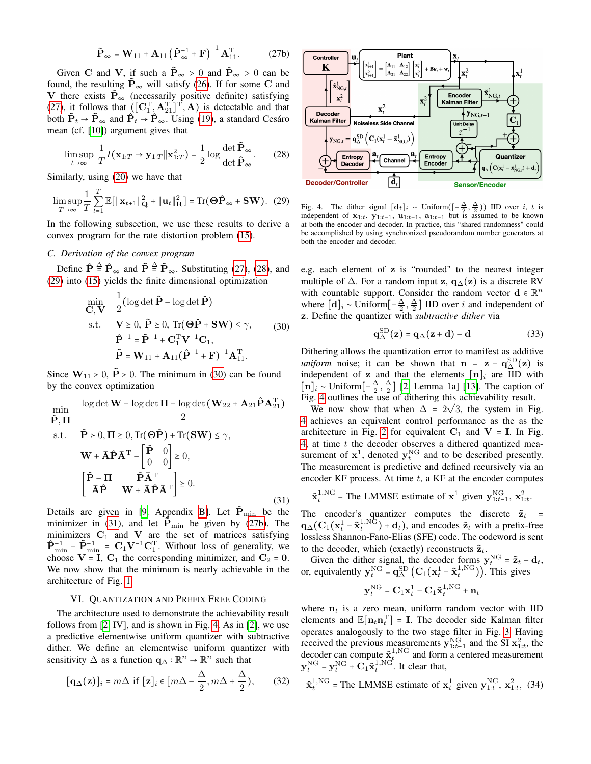$$
\tilde{\mathbf{P}}_{\infty} = \mathbf{W}_{11} + \mathbf{A}_{11} \left( \hat{\mathbf{P}}_{\infty}^{-1} + \mathbf{F} \right)^{-1} \mathbf{A}_{11}^{\mathrm{T}}.
$$
 (27b)

Given C and V, if such a  $\tilde{P}_{\infty} > 0$  and  $\hat{P}_{\infty} > 0$  can be found, the resulting  $\tilde{P}_{\infty}$  will satisfy [\(26\)](#page-3-6). If for some C and V there exists  $\mathbf{P}_{\infty}$  (necessarily positive definite) satisfying [\(27\)](#page-3-7), it follows that  $([\mathbf{C}_1^T, \mathbf{A}_{21}^T]^T, \mathbf{A})$  is detectable and that both  $\tilde{P}_t \rightarrow \tilde{P}_{\infty}$  and  $\hat{P}_t \rightarrow \hat{P}_{\infty}$ . Using [\(19\)](#page-3-8), a standard Cesáro mean (cf. [\[10\]](#page-5-9)) argument gives that

$$
\limsup_{t \to \infty} \frac{1}{T} I(\mathbf{x}_{1:T} \to \mathbf{y}_{1:T} || \mathbf{x}_{1:T}^2) = \frac{1}{2} \log \frac{\det \tilde{\mathbf{P}}_{\infty}}{\det \hat{\mathbf{P}}_{\infty}}.
$$
 (28)

Similarly, using [\(20\)](#page-3-9) we have that

$$
\limsup_{T \to \infty} \frac{1}{T} \sum_{t=1}^{T} \mathbb{E}[\|\mathbf{x}_{t+1}\|_{\mathbf{Q}}^2 + \|\mathbf{u}_t\|_{\mathbf{R}}^2] = \text{Tr}(\Theta \hat{\mathbf{P}}_{\infty} + \mathbf{SW}). \tag{29}
$$

In the following subsection, we use these results to derive a convex program for the rate distortion problem [\(15\)](#page-2-8).

## *C. Derivation of the convex program*

Define  $\hat{\mathbf{P}} \stackrel{\Delta}{=} \hat{\mathbf{P}}_{\infty}$  and  $\tilde{\mathbf{P}} \stackrel{\Delta}{=} \tilde{\mathbf{P}}_{\infty}$ . Substituting [\(27\)](#page-3-7), [\(28\)](#page-4-0), and [\(29\)](#page-4-1) into [\(15\)](#page-2-8) yields the finite dimensional optimization

<span id="page-4-2"></span>
$$
\min_{\mathbf{C}, \mathbf{V}} \quad \frac{1}{2} (\log \det \tilde{\mathbf{P}} - \log \det \hat{\mathbf{P}})
$$
\n
$$
\text{s.t.} \quad \mathbf{V} \ge 0, \ \tilde{\mathbf{P}} \ge 0, \ \text{Tr}(\Theta \hat{\mathbf{P}} + \mathbf{SW}) \le \gamma, \tag{30}
$$
\n
$$
\hat{\mathbf{P}}^{-1} = \tilde{\mathbf{P}}^{-1} + \mathbf{C}_{1}^{\mathrm{T}} \mathbf{V}^{-1} \mathbf{C}_{1},
$$
\n
$$
\tilde{\mathbf{P}} = \mathbf{W}_{11} + \mathbf{A}_{11} (\hat{\mathbf{P}}^{-1} + \mathbf{F})^{-1} \mathbf{A}_{11}^{\mathrm{T}}.
$$

Since  $W_{11}$  > 0,  $\tilde{P}$  > 0. The minimum in [\(30\)](#page-4-2) can be found by the convex optimization

<span id="page-4-3"></span>
$$
\min_{\hat{\mathbf{P}}, \mathbf{\Pi}} \quad \frac{\log \det \mathbf{W} - \log \det \mathbf{\Pi} - \log \det (\mathbf{W}_{22} + \mathbf{A}_{21} \hat{\mathbf{P}} \mathbf{A}_{21}^{\mathrm{T}})}{2}
$$
\ns.t. 
$$
\hat{\mathbf{P}} > 0, \mathbf{\Pi} \ge 0, \text{Tr}(\mathbf{\Theta} \hat{\mathbf{P}}) + \text{Tr}(\mathbf{SW}) \le \gamma,
$$
\n
$$
\mathbf{W} + \overline{\mathbf{A}} \hat{\mathbf{P}} \overline{\mathbf{A}}^{\mathrm{T}} - \begin{bmatrix} \hat{\mathbf{P}} & 0 \\ 0 & 0 \end{bmatrix} \ge 0,
$$
\n
$$
\begin{bmatrix} \hat{\mathbf{P}} - \mathbf{\Pi} & \hat{\mathbf{P}} \overline{\mathbf{A}}^{\mathrm{T}} \\ \overline{\mathbf{A}} \hat{\mathbf{P}} & \mathbf{W} + \overline{\mathbf{A}} \hat{\mathbf{P}} \overline{\mathbf{A}}^{\mathrm{T}} \end{bmatrix} \ge 0.
$$
\n(31)

Details are given in [\[9,](#page-5-8) Appendix [B\]](#page-7-0). Let  $\mathbf{P}_{\text{min}}$  be the minimizer in [\(31\)](#page-4-3), and let  $\tilde{P}_{min}$  be given by [\(27b\)](#page-4-4). The minimizers  $C_1$  and V are the set of matrices satisfying  $\hat{\mathbf{P}}_{\text{min}}^{-1} - \tilde{\mathbf{P}}_{\text{min}}^{-1} = \mathbf{C}_1 \mathbf{V}^{-1} \mathbf{C}_1^{\text{T}}$ . Without loss of generality, we choose  $V = I$ ,  $C_1$  the corresponding minimizer, and  $C_2 = 0$ . We now show that the minimum is nearly achievable in the architecture of Fig. [1.](#page-1-1)

# VI. QUANTIZATION AND PREFIX FREE CODING

<span id="page-4-6"></span>The architecture used to demonstrate the achievability result follows from [\[2,](#page-5-1) IV], and is shown in Fig. [4.](#page-4-5) As in [\[2\]](#page-5-1), we use a predictive elementwise uniform quantizer with subtractive dither. We define an elementwise uniform quantizer with sensitivity  $\Delta$  as a function  $\mathbf{q}_{\Delta} : \mathbb{R}^n \to \mathbb{R}^n$  such that

$$
[\mathbf{q}_{\Delta}(\mathbf{z})]_i = m\Delta \text{ if } [\mathbf{z}]_i \in [m\Delta - \frac{\Delta}{2}, m\Delta + \frac{\Delta}{2}), \quad (32)
$$

<span id="page-4-4"></span>

<span id="page-4-5"></span><span id="page-4-1"></span><span id="page-4-0"></span>Fig. 4. The dither signal  $\left[d_t\right]_i \sim \text{Uniform}\left(\left[-\frac{\Delta}{2}, \frac{\Delta}{2}\right)\right)$  IID over *i*, *t* is independent of  $x_{1:t}$ ,  $y_{1:t-1}$ ,  $u_{1:t-1}$ ,  $a_{1:t-1}$  but is assumed to be known at both the encoder and decoder. In practice, this "shared randomness" could be accomplished by using synchronized pseudorandom number generators at both the encoder and decoder.

e.g. each element of z is "rounded" to the nearest integer multiple of  $\Delta$ . For a random input z,  $q_{\Delta}(z)$  is a discrete RV with countable support. Consider the random vector  $\mathbf{d} \in \mathbb{R}^n$ <br>where  $\lceil \mathbf{d} \rceil$  . Lightform  $\lceil \Delta \rceil$  All IID cuse is and independent of where  $[\mathbf{d}]_i \sim \text{Uniform}[-\frac{\Delta}{2}, \frac{\Delta}{2}]$  IID over *i* and independent of z. Define the quantizer with *subtractive dither* via

$$
\mathbf{q}_{\Delta}^{\mathrm{SD}}(\mathbf{z}) = \mathbf{q}_{\Delta}(\mathbf{z} + \mathbf{d}) - \mathbf{d}
$$
 (33)

Dithering allows the quantization error to manifest as additive *uniform* noise; it can be shown that  $n = z - q_{\text{D}}^{\text{SD}}(z)$  is independent of z and that the elements  $[n]_i$  are IID with  $\left[\mathbf{n}\right]_i$  ~ Uniform $\left[-\frac{\Delta}{2}, \frac{\Delta}{2}\right]$  [\[2,](#page-5-1) Lemma 1a] [\[13\]](#page-5-12). The caption of Fig. [4](#page-4-5) outlines the use of dithering this achievability result.

We now show that when  $\Delta = 2\sqrt{3}$ , the system in Fig. [4](#page-4-5) achieves an equivalent control performance as the as the architecture in Fig. [2](#page-2-5) for equivalent  $C_1$  and  $V = I$ . In Fig. [4,](#page-4-5) at time  $t$  the decoder observes a dithered quantized measurement of  $x^1$ , denoted  $y_t^{NG}$  and to be described presently. The measurement is predictive and defined recursively via an encoder KF process. At time  $t$ , a KF at the encoder computes

$$
\tilde{\mathbf{x}}_t^{1,\text{NG}} = \text{The LMMSE estimate of } \mathbf{x}^1 \text{ given } \mathbf{y}_{1:t-1}^{\text{NG}}, \mathbf{x}_{1:t}^2.
$$

The encoder's quantizer computes the discrete  $\tilde{\mathbf{z}}_t =$ <br> $\alpha_s(G(\tau_1^1, \tilde{\tau}_2^{1,\text{NG}}), d_s)$  and ancedes  $\tilde{\tau}_s$  with a noder free  $\mathbf{q}_{\Delta}(\mathbf{C}_1(\mathbf{x}_t^1 - \tilde{\mathbf{x}}_t^{1,\text{NG}}) + \mathbf{d}_t)$ , and encodes  $\tilde{\mathbf{z}}_t$  with a prefix-free lossless Shannon-Fano-Elias (SFE) code. The codeword is sent to the decoder, which (exactly) reconstructs  $\tilde{\mathbf{z}}_t$ .

Given the dither signal, the decoder forms  $y_t^{\text{NG}} = \tilde{\mathbf{z}}_t - \mathbf{d}_t$ ,<br>or, equivalently  $y_t^{\text{NG}} = \mathbf{q}_{\Delta}^{\text{SD}} (\mathbf{C}_1(\mathbf{x}_t^1 - \tilde{\mathbf{x}}_t^1)^{\text{NG}})$ ). This gives

$$
\mathbf{y}_t^{\text{NG}} = \mathbf{C}_1 \mathbf{x}_t^1 - \mathbf{C}_1 \tilde{\mathbf{x}}_t^{1,\text{NG}} + \mathbf{n}_t
$$

where  $n_t$  is a zero mean, uniform random vector with IID elements and  $\mathbb{E}[n_t n_t^T] = I$ . The decoder side Kalman filter operates analogously to the two stage filter in Fig. [3.](#page-3-1) Having received the previous measurements  $y_{1:t-1}^{NG}$  and the SI  $x_{1:t}^2$ , the decoder can compute  $\tilde{\mathbf{x}}_t^{1,\text{NG}}$  and form a centered measurement  $\overline{\mathbf{y}}_t^{\text{NG}} = \mathbf{y}_t^{\text{NG}} + \mathbf{C}_1 \tilde{\mathbf{x}}_t^{\text{1,NG}^{\text{C}}}$ . It clear that,

$$
\hat{\mathbf{x}}_t^{1,\text{NG}} = \text{The LMMSE estimate of } \mathbf{x}_t^1 \text{ given } \mathbf{y}_{1:t}^{\text{NG}}, \mathbf{x}_{1:t}^2, (34)
$$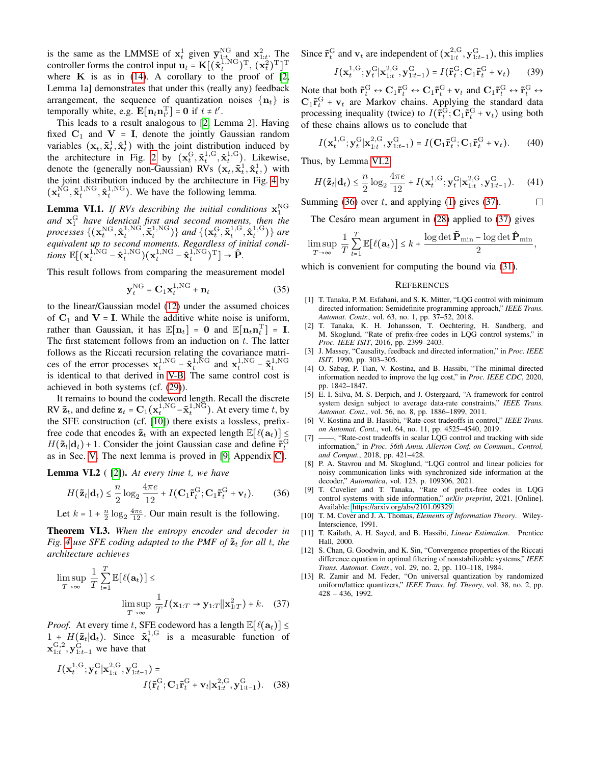is the same as the LMMSE of  $x_t^1$  given  $\overline{y}_{1:t_{\text{NLO}}}^{\text{NG}}$  and  $x_{1:t}^2$ . The controller forms the control input  $\mathbf{u}_t = \mathbf{K}[(\hat{\mathbf{x}}_t^{\text{T,NG}})^{\text{T}}, (\mathbf{x}_t^2)^{\text{T}}]^{\text{T}}$ where  $K$  is as in [\(14\)](#page-2-11). A corollary to the proof of [\[2,](#page-5-1) Lemma 1a] demonstrates that under this (really any) feedback arrangement, the sequence of quantization noises  $\{n_t\}$  is temporally white, e.g.  $\mathbf{E}[\mathbf{n}_t \mathbf{n}_t^{\mathrm{T}}] = \mathbf{0}$  if  $t \neq t'$ .<br>This look to a result appleasus to  $\Omega$ .

This leads to a result analogous to [\[2,](#page-5-1) Lemma 2]. Having fixed  $C_1$  and  $V = I$ , denote the jointly Gaussian random variables  $(\mathbf{x}_t, \tilde{\mathbf{x}}_t^1, \hat{\mathbf{x}}_t^1)$  with the joint distribution induced by the architecture in Fig. [2](#page-2-5) by  $(\mathbf{x}_t^G, \tilde{\mathbf{x}}_t^{1,G}, \hat{\mathbf{x}}_t^{1,G})$ . Likewise, denote the (generally non-Gaussian) RVs  $(\mathbf{x}_t, \tilde{\mathbf{x}}_t^1, \hat{\mathbf{x}}_t^1)$  with the joint distribution induced by the architecture in Fig. [4](#page-4-5) by  $(\mathbf{x}_t^{\text{NG}}, \tilde{\mathbf{x}}_t^{\text{1,NG}}, \hat{\mathbf{x}}_t^{\text{1,NG}})$ . We have the following lemma.

<span id="page-5-16"></span>**Lemma VI.1.** If RVs describing the initial conditions  $\mathbf{x}_1^{\text{NG}}$ and  $\mathbf{x}_1^G$  have identical first and second moments, then the *processes*  $\{(\mathbf{x}_t^{\text{NG}}, \mathbf{\hat{x}}_t^{\text{1,NG}}, \mathbf{\tilde{x}}_t^{\text{1,NG}})\}$  *and*  $\{(\mathbf{x}_t^{\text{G}}, \mathbf{\tilde{x}}_t^{\text{1,G}}, \mathbf{\hat{x}}_t^{\text{1,G}})\}$  *are equivalent up to second moments. Regardless of initial condi*tions  $\mathbb{E}[(\mathbf{x}_t^{1,\text{NG}} - \hat{\mathbf{x}}_t^{1,\text{NG}})(\mathbf{x}_t^{1,\text{NG}} - \hat{\mathbf{x}}_t^{1,\text{NG}})^{\text{T}}] \rightarrow \hat{\mathbf{P}}.$ 

This result follows from comparing the measurement model

$$
\overline{\mathbf{y}}_t^{\text{NG}} = \mathbf{C}_1 \mathbf{x}_t^{1,\text{NG}} + \mathbf{n}_t \tag{35}
$$

to the linear/Gaussian model [\(12\)](#page-2-12) under the assumed choices of  $C_1$  and  $V = I$ . While the additive white noise is uniform, rather than Gaussian, it has  $\mathbb{E}[n_t] = 0$  and  $\mathbb{E}[n_t n_t^T] = I$ .<br>The first statement follows from an induction on t. The latter The first statement follows from an induction on  $t$ . The latter follows as the Riccati recursion relating the covariance matrices of the error processes  $\mathbf{x}_t^{1,\text{NG}} - \hat{\mathbf{x}}_t^{1,\text{NG}}$  and  $\mathbf{x}_t^{1,\text{NG}} - \tilde{\mathbf{x}}_t^{1,\text{NG}}$ is identical to that derived in [V-B.](#page-3-10) The same control cost is achieved in both systems (cf. [\(29\)](#page-4-1)).

It remains to bound the codeword length. Recall the discrete RV  $\tilde{\mathbf{z}}_t$ , and define  $\mathbf{z}_t = \mathbf{C}_1(\mathbf{x}_t^{1,\text{NG}} - \tilde{\mathbf{x}}_t^{1,\text{NG}})$ . At every time t, by the SFE construction (cf. [\[10\]](#page-5-9)) there exists a lossless, prefixfree code that encodes  $\tilde{\mathbf{z}}_t$  with an expected length  $\mathbb{E}[\ell(\mathbf{a}_t)] \leq$  $H(\tilde{\mathbf{z}}_t | \mathbf{d}_t) + 1$ . Consider the joint Gaussian case and define  $\tilde{\mathbf{r}}_t^G$ as in Sec. [V.](#page-2-10) The next lemma is proved in [\[9,](#page-5-8) Appendix [C\]](#page-7-1).

<span id="page-5-13"></span>Lemma VI.2 ( [\[2\]](#page-5-1)). *At every time* t*, we have*

$$
H(\tilde{\mathbf{z}}_t|\mathbf{d}_t) \leq \frac{n}{2}\log_2\frac{4\pi e}{12} + I(\mathbf{C}_1\tilde{\mathbf{r}}_t^{\text{G}};\mathbf{C}_1\tilde{\mathbf{r}}_t^{\text{G}} + \mathbf{v}_t). \tag{36}
$$

Let  $k = 1 + \frac{n}{2} \log_2 \frac{4\pi e}{12}$ . Our main result is the following.

Theorem VI.3. *When the entropy encoder and decoder in Fig.* [4](#page-4-5) use SFE coding adapted to the PMF of  $\tilde{\mathbf{z}}_t$  for all t, the *architecture achieves*

$$
\limsup_{T \to \infty} \frac{1}{T} \sum_{t=1}^{T} \mathbb{E}[\ell(\mathbf{a}_t)] \le \limsup_{T \to \infty} \frac{1}{T} I(\mathbf{x}_{1:T} \to \mathbf{y}_{1:T} || \mathbf{x}_{1:T}^2) + k. \quad (37)
$$

*Proof.* At every time t, SFE codeword has a length  $\mathbb{E}[\ell(\mathbf{a}_t)] \leq 1 + H(\tilde{\mathbf{a}} \mid \mathbf{d})$ . Since  $\tilde{\mathbf{a}}^{1,G}$  is a massumple function of  $1 + H(\tilde{\mathbf{z}}_t | \mathbf{d}_t)$ . Since  $\tilde{\mathbf{x}}_t^{1,\text{G}}$  is a measurable function of  $\mathbf{x}_{1:t}^{\mathrm{G},2}$ ,  $\mathbf{y}_{1:t-1}^{\mathrm{G}}$  we have that

$$
I(\mathbf{x}_{t}^{1,G}; \mathbf{y}_{t}^{G} | \mathbf{x}_{1:t}^{2,G}, \mathbf{y}_{1:t-1}^{G}) =
$$
  

$$
I(\tilde{\mathbf{r}}_{t}^{G}; \mathbf{C}_{1} \tilde{\mathbf{r}}_{t}^{G} + \mathbf{v}_{t} | \mathbf{x}_{1:t}^{2,G}, \mathbf{y}_{1:t-1}^{G}).
$$
 (38)

Since  $\tilde{\mathbf{r}}_t^{\text{G}}$  and  $\mathbf{v}_t$  are independent of  $(\mathbf{x}_{1:t}^{2,\text{G}}, \mathbf{y}_{1:t-1}^{\text{G}})$ , this implies

$$
I(\mathbf{x}_t^{1,G}; \mathbf{y}_t^G | \mathbf{x}_{1:t}^{2,G}, \mathbf{y}_{1:t-1}^G) = I(\tilde{\mathbf{r}}_t^G; \mathbf{C}_1 \tilde{\mathbf{r}}_t^G + \mathbf{v}_t) \tag{39}
$$

Note that both  $\tilde{\mathbf{r}}_t^G \leftrightarrow \mathbf{C}_1 \tilde{\mathbf{r}}_t^G \leftrightarrow \mathbf{C}_1 \tilde{\mathbf{r}}_t^G \leftrightarrow \mathbf{C}_1 \tilde{\mathbf{r}}_t^G \leftrightarrow \mathbf{C}_1 \tilde{\mathbf{r}}_t^G \leftrightarrow \tilde{\mathbf{r}}_t^G \leftrightarrow \tilde{\mathbf{r}}_t^G \leftrightarrow \tilde{\mathbf{r}}_t^G \leftrightarrow \tilde{\mathbf{r}}_t^G \leftrightarrow \tilde{\mathbf{r}}_t^G \leftrightarrow \tilde{\mathbf{r}}_t^G \leftrightarrow \tilde{\mathbf{r}}_t^$  $C_1 \tilde{r}_t^G + v_t$  are Markov chains. Applying the standard data processing inequality (twice) to  $I(\tilde{\mathbf{r}}_t^{\text{G}}; \mathbf{C}_1 \tilde{\mathbf{r}}_t^{\text{G}} + \mathbf{v}_t)$  using both of these chains allows us to conclude that

$$
I(\mathbf{x}_t^{1,G}; \mathbf{y}_t^G | \mathbf{x}_{1:t}^{2,G}, \mathbf{y}_{1:t-1}^G) = I(\mathbf{C}_1 \tilde{\mathbf{r}}_t^G; \mathbf{C}_1 \tilde{\mathbf{r}}_t^G + \mathbf{v}_t). \tag{40}
$$

Thus, by Lemma [VI.2](#page-5-13)

$$
H(\tilde{\mathbf{z}}_t|\mathbf{d}_t) \leq \frac{n}{2}\log_2\frac{4\pi e}{12} + I(\mathbf{x}_t^{1,\mathrm{G}};\mathbf{y}_t^{\mathrm{G}}|\mathbf{x}_{1:t}^{2,\mathrm{G}},\mathbf{y}_{1:t-1}^{\mathrm{G}}). \tag{41}
$$

Summing (36) over 
$$
t
$$
, and applying (1) gives (37).  $\Box$ 

The Cesáro mean argument in [\(28\)](#page-4-0) applied to [\(37\)](#page-5-15) gives

$$
\limsup_{T\to\infty}\frac{1}{T}\sum_{t=1}^T\mathbb{E}\big[\ell(\mathbf{a}_t)\big]\leq k+\frac{\log\det\mathbf{\tilde{P}}_{\min}-\log\det\mathbf{\hat{P}}_{\min}}{2},
$$

which is convenient for computing the bound via [\(31\)](#page-4-3).

#### **REFERENCES**

- <span id="page-5-0"></span>[1] T. Tanaka, P. M. Esfahani, and S. K. Mitter, "LQG control with minimum directed information: Semidefinite programming approach," *IEEE Trans. Automat. Contr.*, vol. 63, no. 1, pp. 37–52, 2018.
- <span id="page-5-1"></span>[2] T. Tanaka, K. H. Johansson, T. Oechtering, H. Sandberg, and M. Skoglund, "Rate of prefix-free codes in LQG control systems," in *Proc. IEEE ISIT*, 2016, pp. 2399–2403.
- <span id="page-5-2"></span>[3] J. Massey, "Causality, feedback and directed information," in *Proc. IEEE ISIT*, 1990, pp. 303–305.
- <span id="page-5-3"></span>[4] O. Sabag, P. Tian, V. Kostina, and B. Hassibi, "The minimal directed information needed to improve the lqg cost," in *Proc. IEEE CDC*, 2020, pp. 1842–1847.
- <span id="page-5-4"></span>[5] E. I. Silva, M. S. Derpich, and J. Ostergaard, "A framework for control system design subject to average data-rate constraints," *IEEE Trans. Automat. Cont.*, vol. 56, no. 8, pp. 1886–1899, 2011.
- <span id="page-5-5"></span>[6] V. Kostina and B. Hassibi, "Rate-cost tradeoffs in control," *IEEE Trans. on Automat. Cont.*, vol. 64, no. 11, pp. 4525–4540, 2019.
- <span id="page-5-6"></span>[7] ——, "Rate-cost tradeoffs in scalar LQG control and tracking with side information," in *Proc. 56th Annu. Allerton Conf. on Commun., Control, and Comput.*, 2018, pp. 421–428.
- <span id="page-5-7"></span>[8] P. A. Stavrou and M. Skoglund, "LQG control and linear policies for noisy communication links with synchronized side information at the decoder," *Automatica*, vol. 123, p. 109306, 2021.
- <span id="page-5-14"></span><span id="page-5-8"></span>[9] T. Cuvelier and T. Tanaka, "Rate of prefix-free codes in LQG control systems with side information," *arXiv preprint*, 2021. [Online]. Available:<https://arxiv.org/abs/2101.09329>
- <span id="page-5-9"></span>[10] T. M. Cover and J. A. Thomas, *Elements of Information Theory*. Wiley-Interscience, 1991.
- <span id="page-5-10"></span>[11] T. Kailath, A. H. Sayed, and B. Hassibi, *Linear Estimation*. Prentice Hall, 2000.
- <span id="page-5-11"></span>[12] S. Chan, G. Goodwin, and K. Sin, "Convergence properties of the Riccati difference equation in optimal filtering of nonstabilizable systems," *IEEE Trans. Automat. Contr.*, vol. 29, no. 2, pp. 110–118, 1984.
- <span id="page-5-15"></span><span id="page-5-12"></span>[13] R. Zamir and M. Feder, "On universal quantization by randomized uniform/lattice quantizers," *IEEE Trans. Inf. Theory*, vol. 38, no. 2, pp. 428 – 436, 1992.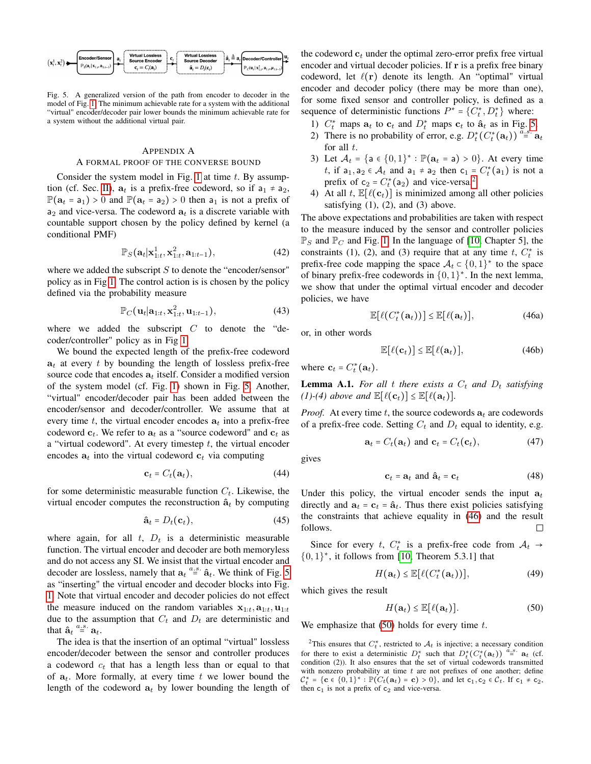

<span id="page-6-1"></span>Fig. 5. A generalized version of the path from encoder to decoder in the model of Fig. [1.](#page-1-1) The minimum achievable rate for a system with the additional "virtual" encoder/decoder pair lower bounds the minimum achievable rate for a system without the additional virtual pair.

#### <span id="page-6-0"></span>APPENDIX A A FORMAL PROOF OF THE CONVERSE BOUND

Consider the system model in Fig. [1](#page-1-1) at time  $t$ . By assump-tion (cf. Sec. [II\)](#page-1-6),  $a_t$  is a prefix-free codeword, so if  $a_1 \neq a_2$ ,  $\mathbb{P}(\mathbf{a}_t = \mathbf{a}_1) > 0$  and  $\mathbb{P}(\mathbf{a}_t = \mathbf{a}_2) > 0$  then  $\mathbf{a}_1$  is not a prefix of  $a_2$  and vice-versa. The codeword  $a_t$  is a discrete variable with countable support chosen by the policy defined by kernel (a conditional PMF)

$$
\mathbb{P}_S(\mathbf{a}_t|\mathbf{x}_{1:t}^1,\mathbf{x}_{1:t}^2,\mathbf{a}_{1:t-1}),
$$
\n(42)

where we added the subscript  $S$  to denote the "encoder/sensor" policy as in Fig [1.](#page-1-1) The control action is is chosen by the policy defined via the probability measure

$$
\mathbb{P}_C(\mathbf{u}_t|\mathbf{a}_{1:t}, \mathbf{x}_{1:t}^2, \mathbf{u}_{1:t-1}),
$$
\n(43)

where we added the subscript  $C$  to denote the "decoder/controller" policy as in Fig [1.](#page-1-1)

We bound the expected length of the prefix-free codeword  $a_t$  at every t by bounding the length of lossless prefix-free source code that encodes  $a_t$  itself. Consider a modified version of the system model (cf. Fig. [1\)](#page-1-1) shown in Fig. [5.](#page-6-1) Another, "virtual" encoder/decoder pair has been added between the encoder/sensor and decoder/controller. We assume that at every time t, the virtual encoder encodes  $a_t$  into a prefix-free codeword  $c_t$ . We refer to  $a_t$  as a "source codeword" and  $c_t$  as a "virtual codeword". At every timestep  $t$ , the virtual encoder encodes  $a_t$  into the virtual codeword  $c_t$  via computing

$$
\mathbf{c}_t = C_t(\mathbf{a}_t),\tag{44}
$$

for some deterministic measurable function  $C_t$ . Likewise, the virtual encoder computes the reconstruction  $\hat{a}_t$  by computing

$$
\hat{\mathbf{a}}_t = D_t(\mathbf{c}_t),\tag{45}
$$

where again, for all  $t$ ,  $D_t$  is a deterministic measurable function. The virtual encoder and decoder are both memoryless and do not access any SI. We insist that the virtual encoder and decoder are lossless, namely that  $a_t \stackrel{a.s.}{=} \hat{a}_t$ . We think of Fig. [5](#page-6-1) as "inserting" the virtual encoder and decoder blocks into Fig. [1.](#page-1-1) Note that virtual encoder and decoder policies do not effect the measure induced on the random variables  $x_{1:t}, a_{1:t}, u_{1:t}$ due to the assumption that  $C_t$  and  $D_t$  are deterministic and that  $\hat{\mathbf{a}}_t \stackrel{a.s.}{=} \mathbf{a}_t$ .<br>The idea is

The idea is that the insertion of an optimal "virtual" lossless encoder/decoder between the sensor and controller produces a codeword  $c_t$  that has a length less than or equal to that of  $a_t$ . More formally, at every time t we lower bound the length of the codeword  $a_t$  by lower bounding the length of the codeword  $c_t$  under the optimal zero-error prefix free virtual encoder and virtual decoder policies. If r is a prefix free binary codeword, let  $\ell(\mathbf{r})$  denote its length. An "optimal" virtual encoder and decoder policy (there may be more than one), for some fixed sensor and controller policy, is defined as a sequence of deterministic functions  $P^* = \{C_t^*, D_t^*\}$  where:

- 1)  $C_t^*$  maps  $a_t$  to  $c_t$  and  $D_t^*$  maps  $c_t$  to  $\hat{a}_t$  as in Fig. [5.](#page-6-1)
- 2) There is no probability of error, e.g.  $D_t^*(C_t^*(\mathbf{a}_t)) \stackrel{\alpha.s.}{=} \mathbf{a}_t$ for all  $t$ .
- 3) Let  $\mathcal{A}_t = \{a \in \{0,1\}^* : \mathbb{P}(a_t = a) > 0\}$ . At every time t, if  $a_1, a_2 \in A_t$  and  $a_1 \neq a_2$  then  $c_1 = C_t^*(a_1)$  $c_1 = C_t^*(a_1)$  $c_1 = C_t^*(a_1)$  is not a prefix of  $c_2 = C_t^*(a_2)$  and vice-versa.<sup>2</sup>
- 4) At all t,  $\mathbb{E}[\ell(\mathbf{c}_t)]$  is minimized among all other policies satisfying  $(1)$ ,  $(2)$ , and  $(3)$  above.

The above expectations and probabilities are taken with respect to the measure induced by the sensor and controller policies  $\mathbb{P}_S$  and  $\mathbb{P}_C$  and Fig. [1.](#page-1-1) In the language of [\[10,](#page-5-9) Chapter 5], the constraints (1), (2), and (3) require that at any time  $t$ ,  $C_t^*$  is prefix-free code mapping the space  $\mathcal{A}_t \subset \{0,1\}^*$  to the space of binary prefix-free codewords in  $\{0, 1\}^*$ . In the next lemma, we show that under the optimal virtual encoder and decoder policies, we have

<span id="page-6-3"></span>
$$
\mathbb{E}[\ell(C_t^*(\mathbf{a}_t))] \leq \mathbb{E}[\ell(\mathbf{a}_t)],\tag{46a}
$$

or, in other words

$$
\mathbb{E}[\ell(\mathbf{c}_t)] \le \mathbb{E}[\ell(\mathbf{a}_t)],\tag{46b}
$$

where  $\mathbf{c}_t = C_t^*(\mathbf{a}_t)$ .

**Lemma A.1.** For all t there exists a  $C_t$  and  $D_t$  satisfying *(1)-(4) above and*  $\mathbb{E}[\ell(\mathbf{c}_t)] \leq \mathbb{E}[\ell(\mathbf{a}_t)].$ 

*Proof.* At every time t, the source codewords  $a_t$  are codewords of a prefix-free code. Setting  $C_t$  and  $D_t$  equal to identity, e.g.

$$
\mathbf{a}_t = C_t(\mathbf{a}_t) \text{ and } \mathbf{c}_t = C_t(\mathbf{c}_t), \tag{47}
$$

gives

$$
\mathbf{c}_t = \mathbf{a}_t \text{ and } \hat{\mathbf{a}}_t = \mathbf{c}_t \tag{48}
$$

Under this policy, the virtual encoder sends the input  $a_t$ directly and  $a_t = c_t = \hat{a}_t$ . Thus there exist policies satisfying the constraints that achieve equality in [\(46\)](#page-6-3) and the result follows.  $\Box$ 

Since for every t,  $C_t^*$  is a prefix-free code from  $\mathcal{A}_t \rightarrow$  $\{0,1\}^*$ , it follows from [\[10,](#page-5-9) Theorem 5.3.1] that

$$
H(\mathbf{a}_t) \le \mathbb{E}[\ell(C_t^*(\mathbf{a}_t))],\tag{49}
$$

which gives the result

<span id="page-6-4"></span>
$$
H(\mathbf{a}_t) \le \mathbb{E}[\ell(\mathbf{a}_t)]. \tag{50}
$$

We emphasize that  $(50)$  holds for every time t.

<span id="page-6-2"></span><sup>2</sup>This ensures that  $C_t^*$ , restricted to  $\mathcal{A}_t$  is injective; a necessary condition for there to exist a deterministic  $D_t^*$  such that  $D_t^*(C_t^*(\mathbf{a}_t)) \xrightarrow{\hat{a}_s} \mathbf{a}_t$  (cf. condition (2)). It also ensures that the set of virtual codewords transmitted with nonzero probability at time  $t$  are not prefixes of one another; define  $C_t$  = {C \ceptarrow} \ceptarrow} \ceptarrow} \ceptarrow} \ceptarrow} \ceptarrow} \ceptarrow} \ceptarrow} \ceptarrow} \ceptarrow} \ceptarrow} \ceptarrow} \ceptarrow} \ceptarrow} \ceptarrow} \ceptarrow} \ceptarrow} \ceptar  $t_t^* = \{ \mathbf{c} \in \{0, 1\}^* : \mathbb{P}(C_t(\mathbf{a}_t) = \mathbf{c}) > 0 \}, \text{ and let } \mathbf{c}_1, \mathbf{c}_2 \in C_t. \text{ If } \mathbf{c}_1 \neq \mathbf{c}_2,$